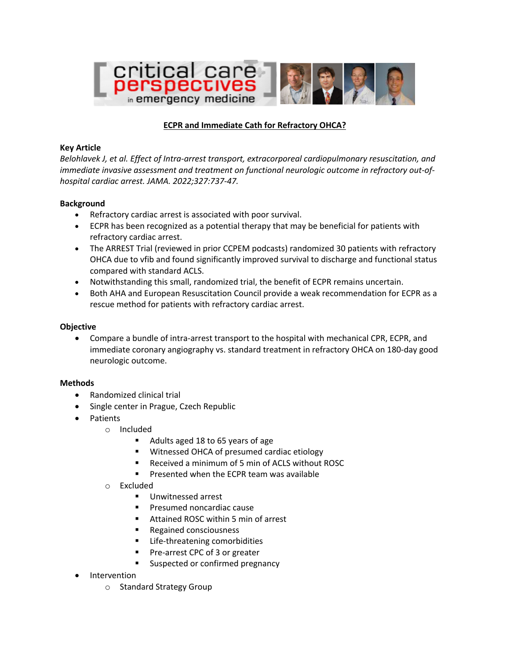

# **ECPR and Immediate Cath for Refractory OHCA?**

### **Key Article**

*Belohlavek J, et al. Effect of Intra-arrest transport, extracorporeal cardiopulmonary resuscitation, and immediate invasive assessment and treatment on functional neurologic outcome in refractory out-ofhospital cardiac arrest. JAMA. 2022;327:737-47.*

# **Background**

- Refractory cardiac arrest is associated with poor survival.
- ECPR has been recognized as a potential therapy that may be beneficial for patients with refractory cardiac arrest.
- The ARREST Trial (reviewed in prior CCPEM podcasts) randomized 30 patients with refractory OHCA due to vfib and found significantly improved survival to discharge and functional status compared with standard ACLS.
- Notwithstanding this small, randomized trial, the benefit of ECPR remains uncertain.
- Both AHA and European Resuscitation Council provide a weak recommendation for ECPR as a rescue method for patients with refractory cardiac arrest.

### **Objective**

• Compare a bundle of intra-arrest transport to the hospital with mechanical CPR, ECPR, and immediate coronary angiography vs. standard treatment in refractory OHCA on 180-day good neurologic outcome.

#### **Methods**

- Randomized clinical trial
- Single center in Prague, Czech Republic
- Patients
	- o Included
		- Adults aged 18 to 65 years of age
		- Witnessed OHCA of presumed cardiac etiology
		- § Received a minimum of 5 min of ACLS without ROSC
		- Presented when the ECPR team was available
	- o Excluded
		- Unwitnessed arrest
		- Presumed noncardiac cause
		- Attained ROSC within 5 min of arrest
		- Regained consciousness
		- Life-threatening comorbidities
		- § Pre-arrest CPC of 3 or greater
		- Suspected or confirmed pregnancy
- Intervention
	- o Standard Strategy Group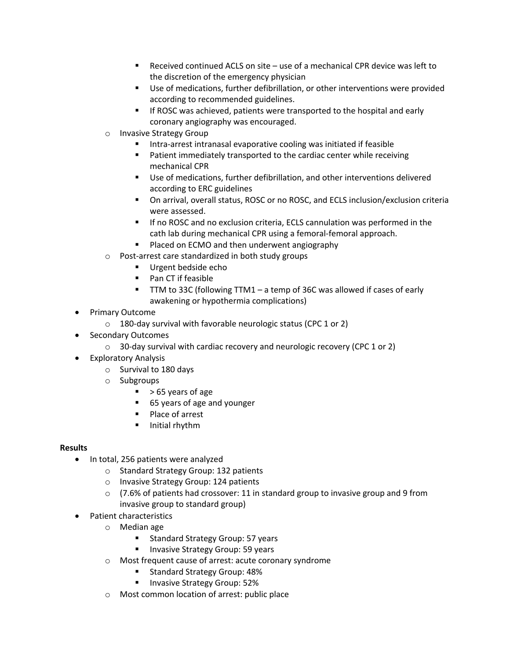- Received continued ACLS on site use of a mechanical CPR device was left to the discretion of the emergency physician
- § Use of medications, further defibrillation, or other interventions were provided according to recommended guidelines.
- § If ROSC was achieved, patients were transported to the hospital and early coronary angiography was encouraged.
- o Invasive Strategy Group
	- § Intra-arrest intranasal evaporative cooling was initiated if feasible
	- Patient immediately transported to the cardiac center while receiving mechanical CPR
	- § Use of medications, further defibrillation, and other interventions delivered according to ERC guidelines
	- On arrival, overall status, ROSC or no ROSC, and ECLS inclusion/exclusion criteria were assessed.
	- If no ROSC and no exclusion criteria, ECLS cannulation was performed in the cath lab during mechanical CPR using a femoral-femoral approach.
	- Placed on ECMO and then underwent angiography
- o Post-arrest care standardized in both study groups
	- Urgent bedside echo
	- Pan CT if feasible
	- TTM to 33C (following TTM1 a temp of 36C was allowed if cases of early awakening or hypothermia complications)
- Primary Outcome
	- $\circ$  180-day survival with favorable neurologic status (CPC 1 or 2)
- Secondary Outcomes
	- o 30-day survival with cardiac recovery and neurologic recovery (CPC 1 or 2)
- Exploratory Analysis
	- o Survival to 180 days
	- o Subgroups
		- $\blacktriangleright$  > 65 years of age
		- 65 years of age and younger
		- Place of arrest
		- § Initial rhythm

# **Results**

- In total, 256 patients were analyzed
	- o Standard Strategy Group: 132 patients
	- o Invasive Strategy Group: 124 patients
	- $\circ$  (7.6% of patients had crossover: 11 in standard group to invasive group and 9 from invasive group to standard group)
- Patient characteristics
	- o Median age
		- Standard Strategy Group: 57 years
		- Invasive Strategy Group: 59 years
	- o Most frequent cause of arrest: acute coronary syndrome
		- Standard Strategy Group: 48%
		- **•** Invasive Strategy Group: 52%
	- o Most common location of arrest: public place